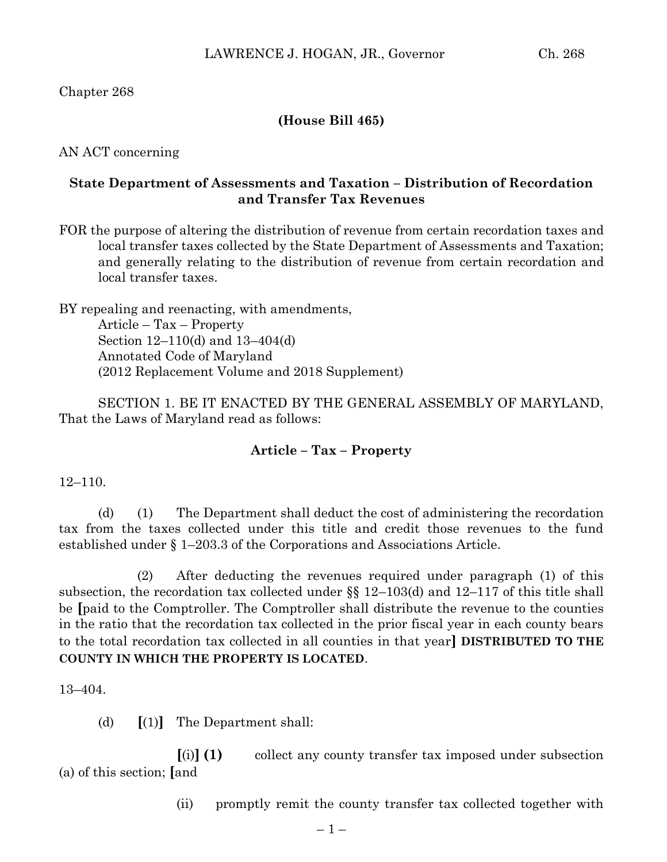Chapter 268

## **(House Bill 465)**

AN ACT concerning

## **State Department of Assessments and Taxation – Distribution of Recordation and Transfer Tax Revenues**

FOR the purpose of altering the distribution of revenue from certain recordation taxes and local transfer taxes collected by the State Department of Assessments and Taxation; and generally relating to the distribution of revenue from certain recordation and local transfer taxes.

BY repealing and reenacting, with amendments, Article – Tax – Property Section 12–110(d) and 13–404(d) Annotated Code of Maryland (2012 Replacement Volume and 2018 Supplement)

SECTION 1. BE IT ENACTED BY THE GENERAL ASSEMBLY OF MARYLAND, That the Laws of Maryland read as follows:

## **Article – Tax – Property**

12–110.

(d) (1) The Department shall deduct the cost of administering the recordation tax from the taxes collected under this title and credit those revenues to the fund established under § 1–203.3 of the Corporations and Associations Article.

(2) After deducting the revenues required under paragraph (1) of this subsection, the recordation tax collected under §§ 12–103(d) and 12–117 of this title shall be **[**paid to the Comptroller. The Comptroller shall distribute the revenue to the counties in the ratio that the recordation tax collected in the prior fiscal year in each county bears to the total recordation tax collected in all counties in that year**] DISTRIBUTED TO THE COUNTY IN WHICH THE PROPERTY IS LOCATED**.

13–404.

(d) **[**(1)**]** The Department shall:

**[**(i)**] (1)** collect any county transfer tax imposed under subsection (a) of this section; **[**and

(ii) promptly remit the county transfer tax collected together with